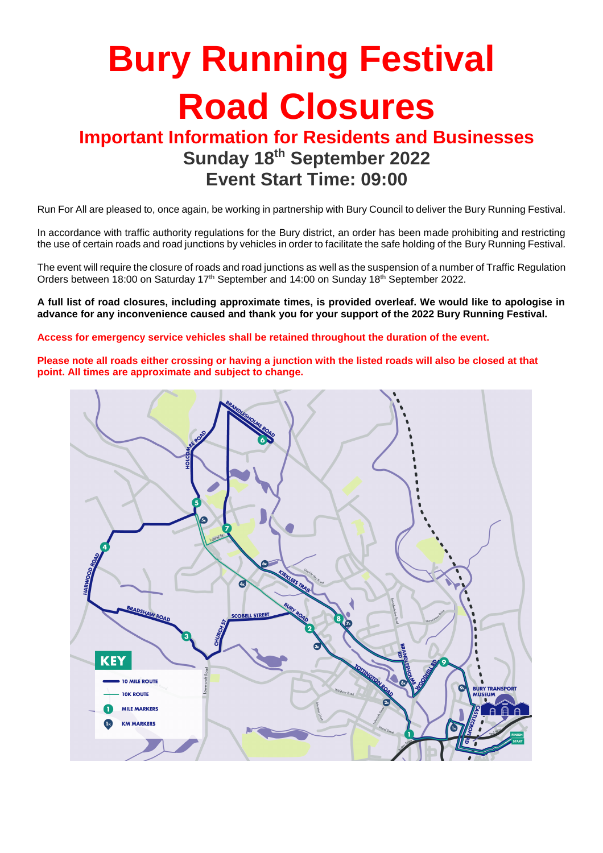# **Bury Running Festival Road Closures**

### **Important Information for Residents and Businesses Sunday 18th September 2022 Event Start Time: 09:00**

Run For All are pleased to, once again, be working in partnership with Bury Council to deliver the Bury Running Festival.

In accordance with traffic authority regulations for the Bury district, an order has been made prohibiting and restricting the use of certain roads and road junctions by vehicles in order to facilitate the safe holding of the Bury Running Festival.

The event will require the closure of roads and road junctions as well as the suspension of a number of Traffic Regulation Orders between 18:00 on Saturday 17<sup>th</sup> September and 14:00 on Sunday 18<sup>th</sup> September 2022.

**A full list of road closures, including approximate times, is provided overleaf. We would like to apologise in advance for any inconvenience caused and thank you for your support of the 2022 Bury Running Festival.**

**Access for emergency service vehicles shall be retained throughout the duration of the event.**

**Please note all roads either crossing or having a junction with the listed roads will also be closed at that point. All times are approximate and subject to change.**